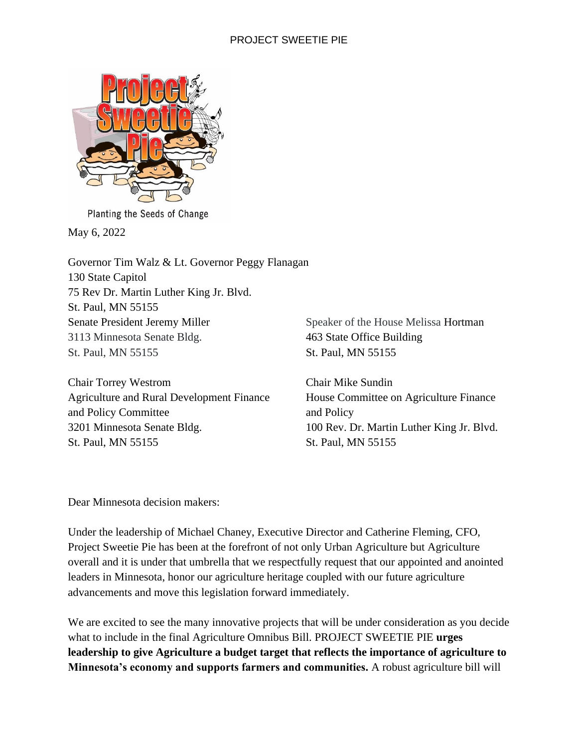

Planting the Seeds of Change

May 6, 2022

Governor Tim Walz & Lt. Governor Peggy Flanagan 130 State Capitol 75 Rev Dr. Martin Luther King Jr. Blvd. St. Paul, MN 55155 Senate President Jeremy Miller 3113 Minnesota Senate Bldg. St. Paul, MN 55155

Chair Torrey Westrom Agriculture and Rural Development Finance and Policy Committee 3201 Minnesota Senate Bldg. St. Paul, MN 55155

Speaker of the House Melissa Hortman 463 State Office Building St. Paul, MN 55155

Chair Mike Sundin House Committee on Agriculture Finance and Policy 100 Rev. Dr. Martin Luther King Jr. Blvd. St. Paul, MN 55155

Dear Minnesota decision makers:

Under the leadership of Michael Chaney, Executive Director and Catherine Fleming, CFO, Project Sweetie Pie has been at the forefront of not only Urban Agriculture but Agriculture overall and it is under that umbrella that we respectfully request that our appointed and anointed leaders in Minnesota, honor our agriculture heritage coupled with our future agriculture advancements and move this legislation forward immediately.

We are excited to see the many innovative projects that will be under consideration as you decide what to include in the final Agriculture Omnibus Bill. PROJECT SWEETIE PIE **urges leadership to give Agriculture a budget target that reflects the importance of agriculture to Minnesota's economy and supports farmers and communities.** A robust agriculture bill will